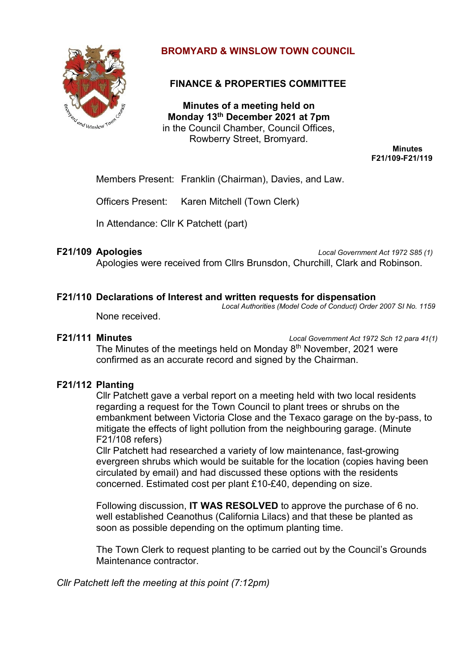

# **BROMYARD & WINSLOW TOWN COUNCIL**

# **FINANCE & PROPERTIES COMMITTEE**

**Minutes of a meeting held on Monday 13th December 2021 at 7pm** in the Council Chamber, Council Offices, Rowberry Street, Bromyard.

**Minutes F21/109-F21/119**

Members Present: Franklin (Chairman), Davies, and Law.

Officers Present: Karen Mitchell (Town Clerk)

In Attendance: Cllr K Patchett (part)

**F21/109 Apologies** *Local Government Act 1972 S85 (1)* Apologies were received from Cllrs Brunsdon, Churchill, Clark and Robinson.

#### **F21/110 Declarations of Interest and written requests for dispensation**

*Local Authorities (Model Code of Conduct) Order 2007 SI No. 1159*

None received.

**F21/111 Minutes** *Local Government Act 1972 Sch 12 para 41(1)*

The Minutes of the meetings held on Monday 8<sup>th</sup> November, 2021 were confirmed as an accurate record and signed by the Chairman.

## **F21/112 Planting**

Cllr Patchett gave a verbal report on a meeting held with two local residents regarding a request for the Town Council to plant trees or shrubs on the embankment between Victoria Close and the Texaco garage on the by-pass, to mitigate the effects of light pollution from the neighbouring garage. (Minute F21/108 refers)

Cllr Patchett had researched a variety of low maintenance, fast-growing evergreen shrubs which would be suitable for the location (copies having been circulated by email) and had discussed these options with the residents concerned. Estimated cost per plant £10-£40, depending on size.

Following discussion, **IT WAS RESOLVED** to approve the purchase of 6 no. well established Ceanothus (California Lilacs) and that these be planted as soon as possible depending on the optimum planting time.

The Town Clerk to request planting to be carried out by the Council's Grounds Maintenance contractor.

*Cllr Patchett left the meeting at this point (7:12pm)*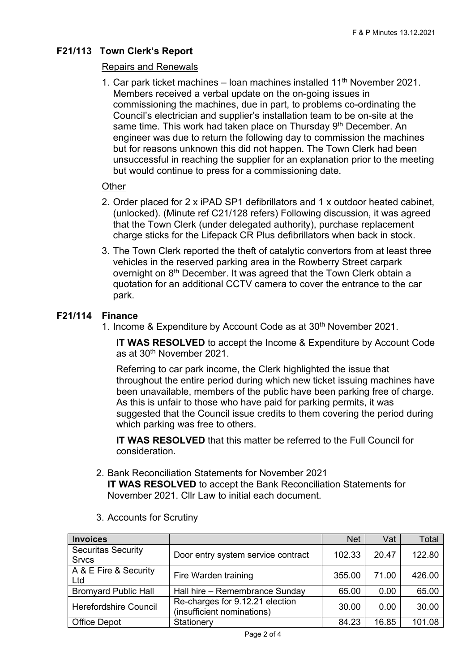# **F21/113 Town Clerk's Report**

# Repairs and Renewals

1. Car park ticket machines – loan machines installed  $11<sup>th</sup>$  November 2021. Members received a verbal update on the on-going issues in commissioning the machines, due in part, to problems co-ordinating the Council's electrician and supplier's installation team to be on-site at the same time. This work had taken place on Thursday 9<sup>th</sup> December. An engineer was due to return the following day to commission the machines but for reasons unknown this did not happen. The Town Clerk had been unsuccessful in reaching the supplier for an explanation prior to the meeting but would continue to press for a commissioning date.

## **Other**

- 2. Order placed for 2 x iPAD SP1 defibrillators and 1 x outdoor heated cabinet, (unlocked). (Minute ref C21/128 refers) Following discussion, it was agreed that the Town Clerk (under delegated authority), purchase replacement charge sticks for the Lifepack CR Plus defibrillators when back in stock.
- 3. The Town Clerk reported the theft of catalytic convertors from at least three vehicles in the reserved parking area in the Rowberry Street carpark overnight on 8<sup>th</sup> December. It was agreed that the Town Clerk obtain a quotation for an additional CCTV camera to cover the entrance to the car park.

## **F21/114 Finance**

1. Income & Expenditure by Account Code as at 30th November 2021.

**IT WAS RESOLVED** to accept the Income & Expenditure by Account Code as at 30<sup>th</sup> November 2021.

Referring to car park income, the Clerk highlighted the issue that throughout the entire period during which new ticket issuing machines have been unavailable, members of the public have been parking free of charge. As this is unfair to those who have paid for parking permits, it was suggested that the Council issue credits to them covering the period during which parking was free to others.

**IT WAS RESOLVED** that this matter be referred to the Full Council for consideration.

2. Bank Reconciliation Statements for November 2021 **IT WAS RESOLVED** to accept the Bank Reconciliation Statements for November 2021. Cllr Law to initial each document.

| <b>Invoices</b>                           |                                                               | <b>Net</b> | Vat   | Total  |
|-------------------------------------------|---------------------------------------------------------------|------------|-------|--------|
| <b>Securitas Security</b><br><b>Srvcs</b> | Door entry system service contract                            | 102.33     | 20.47 | 122.80 |
| A & E Fire & Security<br>Ltd              | Fire Warden training                                          | 355.00     | 71.00 | 426.00 |
| <b>Bromyard Public Hall</b>               | Hall hire - Remembrance Sunday                                | 65.00      | 0.00  | 65.00  |
| Herefordshire Council                     | Re-charges for 9.12.21 election<br>(insufficient nominations) | 30.00      | 0.00  | 30.00  |
| Office Depot                              | Stationery                                                    | 84.23      | 16.85 | 101.08 |

3. Accounts for Scrutiny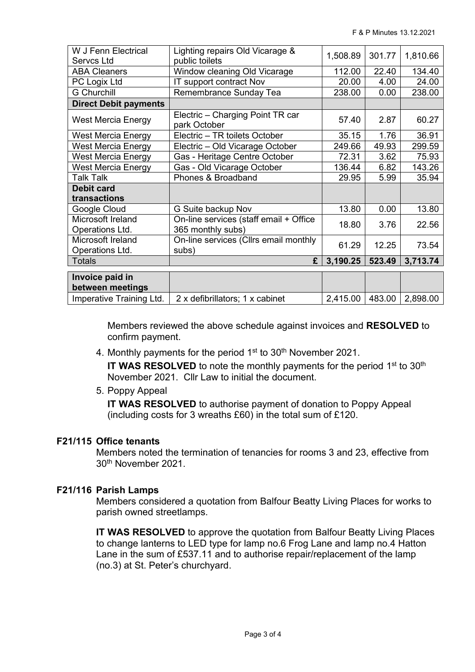| W J Fenn Electrical<br>Servcs Ltd    | Lighting repairs Old Vicarage &<br>public toilets           | 1,508.89 | 301.77 | 1,810.66 |
|--------------------------------------|-------------------------------------------------------------|----------|--------|----------|
| <b>ABA Cleaners</b>                  | Window cleaning Old Vicarage                                | 112.00   | 22.40  | 134.40   |
| PC Logix Ltd                         | IT support contract Nov                                     | 20.00    | 4.00   | 24.00    |
| <b>G</b> Churchill                   | Remembrance Sunday Tea                                      | 238.00   | 0.00   | 238.00   |
| <b>Direct Debit payments</b>         |                                                             |          |        |          |
|                                      |                                                             |          |        |          |
| West Mercia Energy                   | Electric - Charging Point TR car<br>park October            | 57.40    | 2.87   | 60.27    |
| <b>West Mercia Energy</b>            | Electric - TR toilets October                               | 35.15    | 1.76   | 36.91    |
| <b>West Mercia Energy</b>            | Electric - Old Vicarage October                             | 249.66   | 49.93  | 299.59   |
| West Mercia Energy                   | Gas - Heritage Centre October                               | 72.31    | 3.62   | 75.93    |
| West Mercia Energy                   | Gas - Old Vicarage October                                  | 136.44   | 6.82   | 143.26   |
| <b>Talk Talk</b>                     | Phones & Broadband                                          | 29.95    | 5.99   | 35.94    |
| <b>Debit card</b>                    |                                                             |          |        |          |
| transactions                         |                                                             |          |        |          |
| Google Cloud                         | G Suite backup Nov                                          | 13.80    | 0.00   | 13.80    |
| Microsoft Ireland<br>Operations Ltd. | On-line services (staff email + Office<br>365 monthly subs) | 18.80    | 3.76   | 22.56    |
| Microsoft Ireland<br>Operations Ltd. | On-line services (Cllrs email monthly<br>subs)              | 61.29    | 12.25  | 73.54    |
| <b>Totals</b>                        | £                                                           | 3,190.25 | 523.49 | 3,713.74 |
|                                      |                                                             |          |        |          |
| Invoice paid in                      |                                                             |          |        |          |
| between meetings                     |                                                             |          |        |          |
| Imperative Training Ltd.             | 2 x defibrillators; 1 x cabinet                             | 2,415.00 | 483.00 | 2,898.00 |

Members reviewed the above schedule against invoices and **RESOLVED** to confirm payment.

4. Monthly payments for the period  $1<sup>st</sup>$  to  $30<sup>th</sup>$  November 2021.

IT WAS RESOLVED to note the monthly payments for the period 1<sup>st</sup> to 30<sup>th</sup> November 2021. Cllr Law to initial the document.

5. Poppy Appeal

**IT WAS RESOLVED** to authorise payment of donation to Poppy Appeal (including costs for 3 wreaths £60) in the total sum of £120.

## **F21/115 Office tenants**

Members noted the termination of tenancies for rooms 3 and 23, effective from 30th November 2021.

## **F21/116 Parish Lamps**

Members considered a quotation from Balfour Beatty Living Places for works to parish owned streetlamps.

**IT WAS RESOLVED** to approve the quotation from Balfour Beatty Living Places to change lanterns to LED type for lamp no.6 Frog Lane and lamp no.4 Hatton Lane in the sum of £537.11 and to authorise repair/replacement of the lamp (no.3) at St. Peter's churchyard.